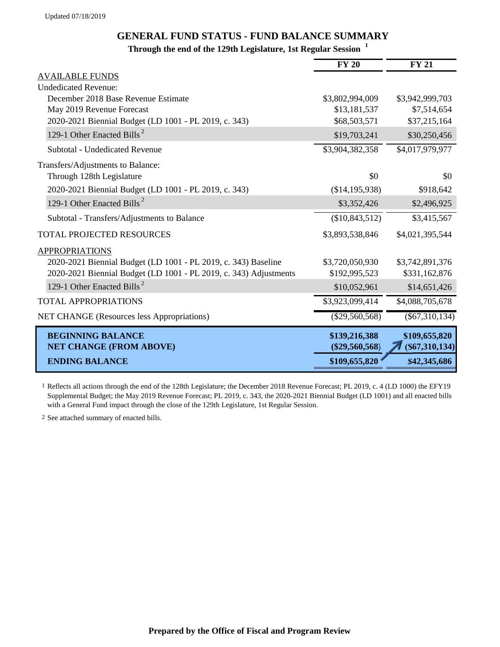## **GENERAL FUND STATUS - FUND BALANCE SUMMARY**

## **Through the end of the 129th Legislature, 1st Regular Session <sup>1</sup>**

|                                                                   | <b>FY 20</b>                      | <b>FY 21</b>                     |
|-------------------------------------------------------------------|-----------------------------------|----------------------------------|
| <b>AVAILABLE FUNDS</b>                                            |                                   |                                  |
| <b>Undedicated Revenue:</b>                                       |                                   |                                  |
| December 2018 Base Revenue Estimate                               | \$3,802,994,009                   | \$3,942,999,703                  |
| May 2019 Revenue Forecast                                         | \$13,181,537                      | \$7,514,654                      |
| 2020-2021 Biennial Budget (LD 1001 - PL 2019, c. 343)             | \$68,503,571                      | \$37,215,164                     |
| 129-1 Other Enacted Bills <sup>2</sup>                            | \$19,703,241                      | \$30,250,456                     |
| Subtotal - Undedicated Revenue                                    | \$3,904,382,358                   | \$4,017,979,977                  |
| Transfers/Adjustments to Balance:                                 |                                   |                                  |
| Through 128th Legislature                                         | \$0                               | \$0                              |
| 2020-2021 Biennial Budget (LD 1001 - PL 2019, c. 343)             | (\$14,195,938)                    | \$918,642                        |
| 129-1 Other Enacted Bills <sup>2</sup>                            | \$3,352,426                       | \$2,496,925                      |
| Subtotal - Transfers/Adjustments to Balance                       | (\$10,843,512)                    | \$3,415,567                      |
| <b>TOTAL PROJECTED RESOURCES</b>                                  | \$3,893,538,846                   | \$4,021,395,544                  |
| <b>APPROPRIATIONS</b>                                             |                                   |                                  |
| 2020-2021 Biennial Budget (LD 1001 - PL 2019, c. 343) Baseline    | \$3,720,050,930                   | \$3,742,891,376                  |
| 2020-2021 Biennial Budget (LD 1001 - PL 2019, c. 343) Adjustments | \$192,995,523                     | \$331,162,876                    |
| 129-1 Other Enacted Bills <sup>2</sup>                            | \$10,052,961                      | \$14,651,426                     |
| <b>TOTAL APPROPRIATIONS</b>                                       | \$3,923,099,414                   | \$4,088,705,678                  |
| <b>NET CHANGE</b> (Resources less Appropriations)                 | $(\$29,560,568)$                  | $(\$67,310,134)$                 |
| <b>BEGINNING BALANCE</b><br><b>NET CHANGE (FROM ABOVE)</b>        | \$139,216,388<br>$(\$29,560,568)$ | \$109,655,820<br>(S67, 310, 134) |
| <b>ENDING BALANCE</b>                                             | \$109,655,820                     | \$42,345,686                     |

1 Reflects all actions through the end of the 128th Legislature; the December 2018 Revenue Forecast; PL 2019, c. 4 (LD 1000) the EFY19 Supplemental Budget; the May 2019 Revenue Forecast; PL 2019, c. 343, the 2020-2021 Biennial Budget (LD 1001) and all enacted bills with a General Fund impact through the close of the 129th Legislature, 1st Regular Session.

2 See attached summary of enacted bills.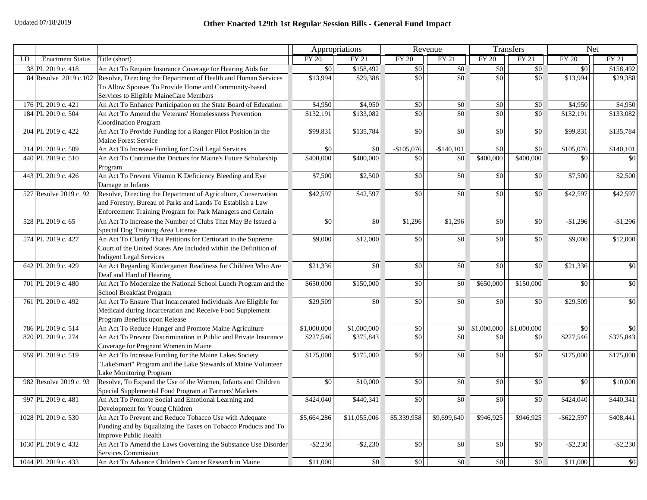|    |                         |                                                                                                                                                                                            | Appropriations                                          |              | Revenue         |                               | Transfers     |              | <b>Net</b>    |                 |
|----|-------------------------|--------------------------------------------------------------------------------------------------------------------------------------------------------------------------------------------|---------------------------------------------------------|--------------|-----------------|-------------------------------|---------------|--------------|---------------|-----------------|
| LD | <b>Enactment Status</b> | Title (short)                                                                                                                                                                              | <b>FY 20</b>                                            | <b>FY 21</b> | <b>FY 20</b>    | <b>FY 21</b>                  | <b>FY 20</b>  | <b>FY 21</b> | <b>FY 20</b>  | <b>FY 21</b>    |
|    | 38 PL 2019 c. 418       | An Act To Require Insurance Coverage for Hearing Aids for                                                                                                                                  | \$0                                                     | \$158,492    | $\sqrt{50}$     | $\sqrt{50}$                   | \$0           | \$0          | \$0           | \$158,492       |
|    |                         | 84 Resolve 2019 c.102 Resolve, Directing the Department of Health and Human Services<br>To Allow Spouses To Provide Home and Community-based<br>Services to Eligible MaineCare Members     | \$13,994                                                | \$29,388     | \$0             | \$0                           | \$0           | \$0          | \$13,994      | \$29,388        |
|    | 176 PL 2019 c. 421      | An Act To Enhance Participation on the State Board of Education                                                                                                                            | \$4,950                                                 | \$4,950      | $\overline{50}$ | \$0                           | \$0           | \$0          | \$4,950       | \$4,950         |
|    | 184 PL 2019 c. 504      | An Act To Amend the Veterans' Homelessness Prevention<br><b>Coordination Program</b>                                                                                                       | \$132,191                                               | \$133,082    | \$0             | $\sqrt{30}$                   | $\frac{1}{2}$ | \$0          | \$132,191     | \$133,082       |
|    | 204 PL 2019 c. 422      | An Act To Provide Funding for a Ranger Pilot Position in the<br>Maine Forest Service                                                                                                       | \$99,831                                                | \$135,784    | \$0             | \$0                           | \$0           | \$0          | \$99,831      | \$135,784       |
|    | 214 PL 2019 c. 509      | An Act To Increase Funding for Civil Legal Services                                                                                                                                        | \$0                                                     | \$0          | $-$105,076$     | $-$140,101$                   | $\frac{1}{2}$ | \$0          | \$105,076     | \$140,101       |
|    | 440 PL 2019 c. 510      | An Act To Continue the Doctors for Maine's Future Scholarship<br>Program                                                                                                                   | \$400,000                                               | \$400,000    | \$0             | \$0                           | \$400,000     | \$400,000    | \$0           | \$0             |
|    | 443 PL 2019 c. 426      | An Act To Prevent Vitamin K Deficiency Bleeding and Eye<br>Damage in Infants                                                                                                               | \$7,500                                                 | \$2,500      | \$0             | $\boldsymbol{S}$ <sup>0</sup> | \$0           | \$0          | \$7,500       | \$2,500         |
|    | 527 Resolve 2019 c. 92  | Resolve, Directing the Department of Agriculture, Conservation<br>and Forestry, Bureau of Parks and Lands To Establish a Law<br>Enforcement Training Program for Park Managers and Certain | \$42,597                                                | \$42,597     | \$0             | \$0                           | \$0           | \$0          | \$42,597      | \$42,597        |
|    | 528 PL 2019 c. 65       | An Act To Increase the Number of Clubs That May Be Issued a<br>Special Dog Training Area License                                                                                           | \$0                                                     | \$0          | \$1,296         | \$1,296                       | \$0           | \$0          | $-$1,296$     | $-$1,296$       |
|    | 574 PL 2019 c. 427      | An Act To Clarify That Petitions for Certiorari to the Supreme<br>Court of the United States Are Included within the Definition of<br><b>Indigent Legal Services</b>                       | \$9,000                                                 | \$12,000     | \$0             | \$0                           | \$0           | \$0          | \$9,000       | \$12,000        |
|    | 642 PL 2019 c. 429      | An Act Regarding Kindergarten Readiness for Children Who Are<br>Deaf and Hard of Hearing                                                                                                   | \$21,336                                                | \$0          | \$0             | \$0                           | \$0           | \$0          | \$21,336      | \$0             |
|    | 701 PL 2019 c. 480      | An Act To Modernize the National School Lunch Program and the<br>School Breakfast Program                                                                                                  | \$650,000                                               | \$150,000    | $\overline{50}$ | \$0                           | \$650,000     | \$150,000    | \$0           | \$0             |
|    | 761 PL 2019 c. 492      | An Act To Ensure That Incarcerated Individuals Are Eligible for<br>Medicaid during Incarceration and Receive Food Supplement<br>Program Benefits upon Release                              | \$29,509                                                | \$0          | \$0             | $\vert$ \$0                   | \$0           | \$0          | \$29,509      | \$0             |
|    | 786 PL 2019 c. 514      | An Act To Reduce Hunger and Promote Maine Agriculture                                                                                                                                      | \$1,000,000                                             | \$1,000,000  | $\$0$           | $\boldsymbol{S}$ <sup>0</sup> | \$1,000,000   | \$1,000,000  | \$0           | \$0             |
|    | 820 PL 2019 c. 274      | An Act To Prevent Discrimination in Public and Private Insurance<br>Coverage for Pregnant Women in Maine                                                                                   | \$227,546                                               | \$375,843    | \$0             | \$0                           | \$0           | \$0          | \$227,546     | \$375,843       |
|    | 959 PL 2019 c. 519      | An Act To Increase Funding for the Maine Lakes Society<br>"LakeSmart" Program and the Lake Stewards of Maine Volunteer<br><b>Lake Monitoring Program</b>                                   | \$175,000                                               | \$175,000    | \$0             | $\vert$ \$0                   | \$0           | \$0          | \$175,000     | \$175,000       |
|    | 982 Resolve 2019 c. 93  | Resolve, To Expand the Use of the Women, Infants and Children<br>Special Supplemental Food Program at Farmers' Markets                                                                     | $\boldsymbol{S}$ <sup><math>\boldsymbol{O}</math></sup> | \$10,000     | \$0             | $\vert$ \$0                   | \$0           | \$0          | \$0           | \$10,000        |
|    | 997 PL 2019 c. 481      | An Act To Promote Social and Emotional Learning and<br>Development for Young Children                                                                                                      | \$424,040                                               | \$440,341    | \$0             | \$0                           | \$0           | \$0          | \$424,040     | \$440,341       |
|    | 1028 PL 2019 c. 530     | An Act To Prevent and Reduce Tobacco Use with Adequate<br>Funding and by Equalizing the Taxes on Tobacco Products and To<br>Improve Public Health                                          | \$5,664,286                                             | \$11,055,006 | \$5,339,958     | \$9,699,640                   | \$946,925     | \$946,925    | $-$ \$622,597 | \$408,441       |
|    | 1030 PL 2019 c. 432     | An Act To Amend the Laws Governing the Substance Use Disorder<br><b>Services Commission</b>                                                                                                | $-$ \$2,230                                             | $-$ \$2,230  | \$0             | \$0                           | \$0           | \$0          | $-$ \$2,230   | $-$2,230$       |
|    | 1044 PL 2019 c. 433     | An Act To Advance Children's Cancer Research in Maine                                                                                                                                      | \$11,000                                                | \$0          | \$0             | \$0                           | \$0           | \$0          | \$11,000      | $\overline{50}$ |